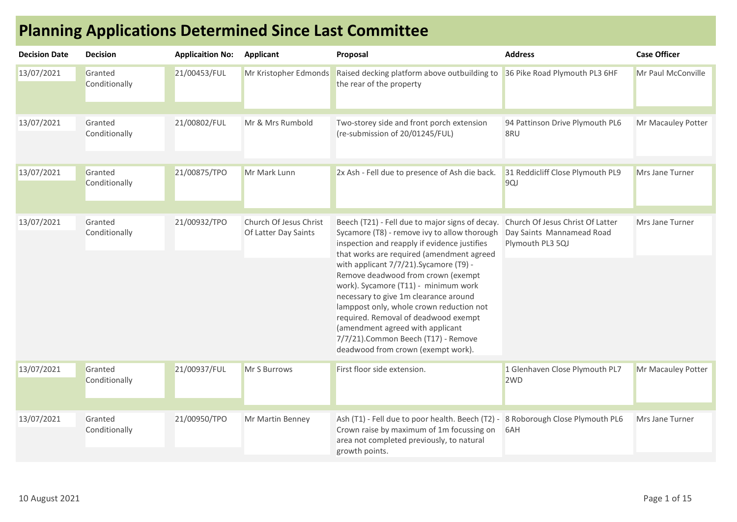| <b>Decision Date</b> | <b>Decision</b>          | <b>Applicaition No:</b> | Applicant                                      | Proposal                                                                                                                                                                                                                                                                                                                                                                                                                                                                                                                                                             | <b>Address</b>                                                                    | <b>Case Officer</b> |
|----------------------|--------------------------|-------------------------|------------------------------------------------|----------------------------------------------------------------------------------------------------------------------------------------------------------------------------------------------------------------------------------------------------------------------------------------------------------------------------------------------------------------------------------------------------------------------------------------------------------------------------------------------------------------------------------------------------------------------|-----------------------------------------------------------------------------------|---------------------|
| 13/07/2021           | Granted<br>Conditionally | 21/00453/FUL            | Mr Kristopher Edmonds                          | Raised decking platform above outbuilding to<br>the rear of the property                                                                                                                                                                                                                                                                                                                                                                                                                                                                                             | 36 Pike Road Plymouth PL3 6HF                                                     | Mr Paul McConville  |
| 13/07/2021           | Granted<br>Conditionally | 21/00802/FUL            | Mr & Mrs Rumbold                               | Two-storey side and front porch extension<br>(re-submission of 20/01245/FUL)                                                                                                                                                                                                                                                                                                                                                                                                                                                                                         | 94 Pattinson Drive Plymouth PL6<br>8RU                                            | Mr Macauley Potter  |
| 13/07/2021           | Granted<br>Conditionally | 21/00875/TPO            | Mr Mark Lunn                                   | 2x Ash - Fell due to presence of Ash die back.                                                                                                                                                                                                                                                                                                                                                                                                                                                                                                                       | 31 Reddicliff Close Plymouth PL9<br>9QJ                                           | Mrs Jane Turner     |
| 13/07/2021           | Granted<br>Conditionally | 21/00932/TPO            | Church Of Jesus Christ<br>Of Latter Day Saints | Beech (T21) - Fell due to major signs of decay.<br>Sycamore (T8) - remove ivy to allow thorough<br>inspection and reapply if evidence justifies<br>that works are required (amendment agreed<br>with applicant 7/7/21). Sycamore (T9) -<br>Remove deadwood from crown (exempt<br>work). Sycamore (T11) - minimum work<br>necessary to give 1m clearance around<br>lamppost only, whole crown reduction not<br>required. Removal of deadwood exempt<br>(amendment agreed with applicant<br>7/7/21). Common Beech (T17) - Remove<br>deadwood from crown (exempt work). | Church Of Jesus Christ Of Latter<br>Day Saints Mannamead Road<br>Plymouth PL3 5QJ | Mrs Jane Turner     |
| 13/07/2021           | Granted<br>Conditionally | 21/00937/FUL            | Mr S Burrows                                   | First floor side extension.                                                                                                                                                                                                                                                                                                                                                                                                                                                                                                                                          | 1 Glenhaven Close Plymouth PL7<br>2 <sub>WD</sub>                                 | Mr Macauley Potter  |
| 13/07/2021           | Granted<br>Conditionally | 21/00950/TPO            | Mr Martin Benney                               | Ash (T1) - Fell due to poor health. Beech (T2) -<br>Crown raise by maximum of 1m focussing on<br>area not completed previously, to natural<br>growth points.                                                                                                                                                                                                                                                                                                                                                                                                         | 8 Roborough Close Plymouth PL6<br>6AH                                             | Mrs Jane Turner     |

## Planning Applications Determined Since Last Committee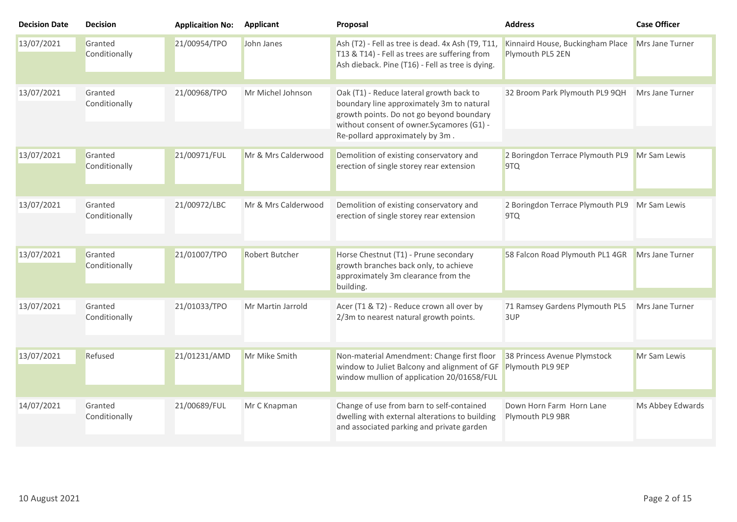| <b>Decision Date</b> | <b>Decision</b>          | <b>Applicaition No:</b> | <b>Applicant</b>      | Proposal                                                                                                                                                                                                           | <b>Address</b>                                       | <b>Case Officer</b> |
|----------------------|--------------------------|-------------------------|-----------------------|--------------------------------------------------------------------------------------------------------------------------------------------------------------------------------------------------------------------|------------------------------------------------------|---------------------|
| 13/07/2021           | Granted<br>Conditionally | 21/00954/TPO            | John Janes            | Ash (T2) - Fell as tree is dead. 4x Ash (T9, T11<br>T13 & T14) - Fell as trees are suffering from<br>Ash dieback. Pine (T16) - Fell as tree is dying.                                                              | Kinnaird House, Buckingham Place<br>Plymouth PL5 2EN | Mrs Jane Turner     |
| 13/07/2021           | Granted<br>Conditionally | 21/00968/TPO            | Mr Michel Johnson     | Oak (T1) - Reduce lateral growth back to<br>boundary line approximately 3m to natural<br>growth points. Do not go beyond boundary<br>without consent of owner. Sycamores (G1) -<br>Re-pollard approximately by 3m. | 32 Broom Park Plymouth PL9 9QH                       | Mrs Jane Turner     |
| 13/07/2021           | Granted<br>Conditionally | 21/00971/FUL            | Mr & Mrs Calderwood   | Demolition of existing conservatory and<br>erection of single storey rear extension                                                                                                                                | 2 Boringdon Terrace Plymouth PL9<br>9TQ              | Mr Sam Lewis        |
| 13/07/2021           | Granted<br>Conditionally | 21/00972/LBC            | Mr & Mrs Calderwood   | Demolition of existing conservatory and<br>erection of single storey rear extension                                                                                                                                | 2 Boringdon Terrace Plymouth PL9 Mr Sam Lewis<br>9TQ |                     |
| 13/07/2021           | Granted<br>Conditionally | 21/01007/TPO            | <b>Robert Butcher</b> | Horse Chestnut (T1) - Prune secondary<br>growth branches back only, to achieve<br>approximately 3m clearance from the<br>building.                                                                                 | 58 Falcon Road Plymouth PL1 4GR                      | Mrs Jane Turner     |
| 13/07/2021           | Granted<br>Conditionally | 21/01033/TPO            | Mr Martin Jarrold     | Acer (T1 & T2) - Reduce crown all over by<br>2/3m to nearest natural growth points.                                                                                                                                | 71 Ramsey Gardens Plymouth PL5<br>3UP                | Mrs Jane Turner     |
| 13/07/2021           | Refused                  | 21/01231/AMD            | Mr Mike Smith         | Non-material Amendment: Change first floor<br>window to Juliet Balcony and alignment of GF<br>window mullion of application 20/01658/FUL                                                                           | 38 Princess Avenue Plymstock<br>Plymouth PL9 9EP     | Mr Sam Lewis        |
| 14/07/2021           | Granted<br>Conditionally | 21/00689/FUL            | Mr C Knapman          | Change of use from barn to self-contained<br>dwelling with external alterations to building<br>and associated parking and private garden                                                                           | Down Horn Farm Horn Lane<br>Plymouth PL9 9BR         | Ms Abbey Edwards    |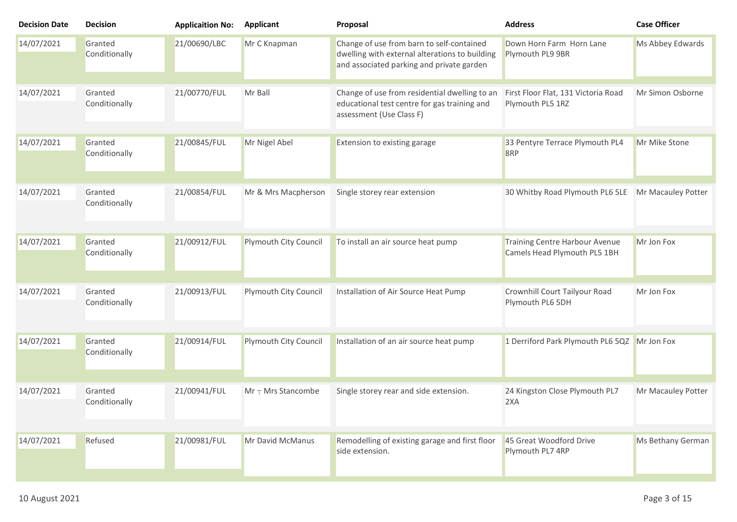| <b>Decision Date</b> | <b>Decision</b>          | <b>Applicaition No:</b> | <b>Applicant</b>                | Proposal                                                                                                                                 | <b>Address</b>                                                 | <b>Case Officer</b> |
|----------------------|--------------------------|-------------------------|---------------------------------|------------------------------------------------------------------------------------------------------------------------------------------|----------------------------------------------------------------|---------------------|
| 14/07/2021           | Granted<br>Conditionally | 21/00690/LBC            | Mr C Knapman                    | Change of use from barn to self-contained<br>dwelling with external alterations to building<br>and associated parking and private garden | Down Horn Farm Horn Lane<br>Plymouth PL9 9BR                   | Ms Abbey Edwards    |
| 14/07/2021           | Granted<br>Conditionally | 21/00770/FUL            | Mr Ball                         | Change of use from residential dwelling to an<br>educational test centre for gas training and<br>assessment (Use Class F)                | First Floor Flat, 131 Victoria Road<br>Plymouth PL5 1RZ        | Mr Simon Osborne    |
| 14/07/2021           | Granted<br>Conditionally | 21/00845/FUL            | Mr Nigel Abel                   | Extension to existing garage                                                                                                             | 33 Pentyre Terrace Plymouth PL4<br>8RP                         | Mr Mike Stone       |
| 14/07/2021           | Granted<br>Conditionally | 21/00854/FUL            | Mr & Mrs Macpherson             | Single storey rear extension                                                                                                             | 30 Whitby Road Plymouth PL6 5LE                                | Mr Macauley Potter  |
| 14/07/2021           | Granted<br>Conditionally | 21/00912/FUL            | Plymouth City Council           | To install an air source heat pump                                                                                                       | Training Centre Harbour Avenue<br>Camels Head Plymouth PL5 1BH | Mr Jon Fox          |
| 14/07/2021           | Granted<br>Conditionally | 21/00913/FUL            | Plymouth City Council           | Installation of Air Source Heat Pump                                                                                                     | Crownhill Court Tailyour Road<br>Plymouth PL6 5DH              | Mr Jon Fox          |
| 14/07/2021           | Granted<br>Conditionally | 21/00914/FUL            | Plymouth City Council           | Installation of an air source heat pump                                                                                                  | 1 Derriford Park Plymouth PL6 5QZ Mr Jon Fox                   |                     |
| 14/07/2021           | Granted<br>Conditionally | 21/00941/FUL            | $Mr$ <sub>T</sub> Mrs Stancombe | Single storey rear and side extension.                                                                                                   | 24 Kingston Close Plymouth PL7<br>2XA                          | Mr Macauley Potter  |
| 14/07/2021           | Refused                  | 21/00981/FUL            | Mr David McManus                | Remodelling of existing garage and first floor<br>side extension.                                                                        | 45 Great Woodford Drive<br>Plymouth PL7 4RP                    | Ms Bethany German   |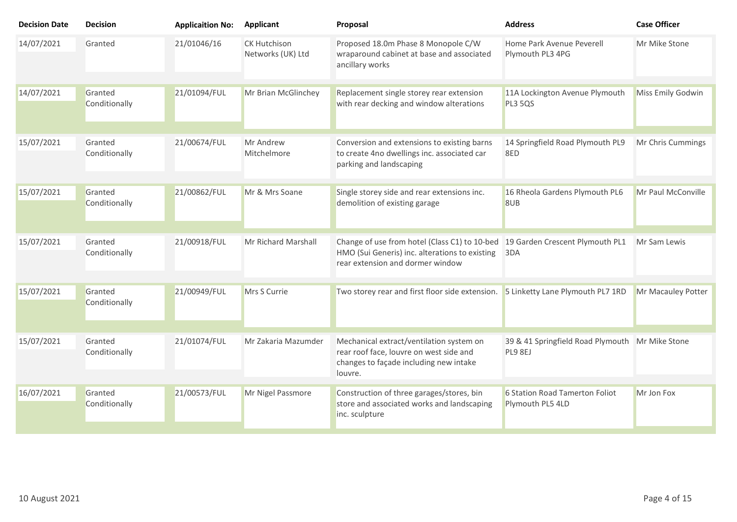| <b>Decision Date</b> | <b>Decision</b>          | <b>Applicaition No:</b> | <b>Applicant</b>                         | Proposal                                                                                                                                                            | <b>Address</b>                                             | <b>Case Officer</b> |
|----------------------|--------------------------|-------------------------|------------------------------------------|---------------------------------------------------------------------------------------------------------------------------------------------------------------------|------------------------------------------------------------|---------------------|
| 14/07/2021           | Granted                  | 21/01046/16             | <b>CK Hutchison</b><br>Networks (UK) Ltd | Proposed 18.0m Phase 8 Monopole C/W<br>wraparound cabinet at base and associated<br>ancillary works                                                                 | Home Park Avenue Peverell<br>Plymouth PL3 4PG              | Mr Mike Stone       |
| 14/07/2021           | Granted<br>Conditionally | 21/01094/FUL            | Mr Brian McGlinchey                      | Replacement single storey rear extension<br>with rear decking and window alterations                                                                                | 11A Lockington Avenue Plymouth<br><b>PL3 5QS</b>           | Miss Emily Godwin   |
| 15/07/2021           | Granted<br>Conditionally | 21/00674/FUL            | Mr Andrew<br>Mitchelmore                 | Conversion and extensions to existing barns<br>to create 4no dwellings inc. associated car<br>parking and landscaping                                               | 14 Springfield Road Plymouth PL9<br>8ED                    | Mr Chris Cummings   |
| 15/07/2021           | Granted<br>Conditionally | 21/00862/FUL            | Mr & Mrs Soane                           | Single storey side and rear extensions inc.<br>demolition of existing garage                                                                                        | 16 Rheola Gardens Plymouth PL6<br>8UB                      | Mr Paul McConville  |
| 15/07/2021           | Granted<br>Conditionally | 21/00918/FUL            | Mr Richard Marshall                      | Change of use from hotel (Class C1) to 10-bed 19 Garden Crescent Plymouth PL1<br>HMO (Sui Generis) inc. alterations to existing<br>rear extension and dormer window | 3DA                                                        | Mr Sam Lewis        |
| 15/07/2021           | Granted<br>Conditionally | 21/00949/FUL            | Mrs S Currie                             | Two storey rear and first floor side extension. 5 Linketty Lane Plymouth PL7 1RD                                                                                    |                                                            | Mr Macauley Potter  |
| 15/07/2021           | Granted<br>Conditionally | 21/01074/FUL            | Mr Zakaria Mazumder                      | Mechanical extract/ventilation system on<br>rear roof face, louvre on west side and<br>changes to façade including new intake<br>louvre.                            | 39 & 41 Springfield Road Plymouth Mr Mike Stone<br>PL9 8EJ |                     |
| 16/07/2021           | Granted<br>Conditionally | 21/00573/FUL            | Mr Nigel Passmore                        | Construction of three garages/stores, bin<br>store and associated works and landscaping<br>inc. sculpture                                                           | 6 Station Road Tamerton Foliot<br>Plymouth PL5 4LD         | Mr Jon Fox          |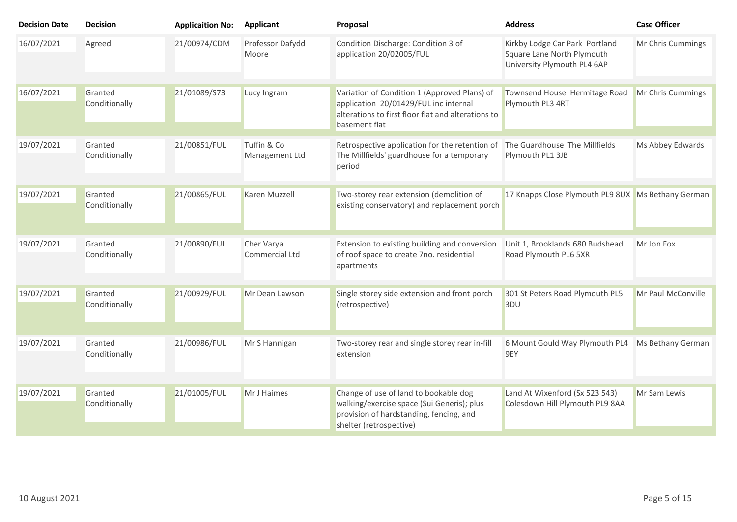| <b>Decision Date</b> | <b>Decision</b>          | <b>Applicaition No:</b> | Applicant                     | Proposal                                                                                                         | <b>Address</b>                                                                              | <b>Case Officer</b> |
|----------------------|--------------------------|-------------------------|-------------------------------|------------------------------------------------------------------------------------------------------------------|---------------------------------------------------------------------------------------------|---------------------|
| 16/07/2021           | Agreed                   | 21/00974/CDM            | Professor Dafydd<br>Moore     | Condition Discharge: Condition 3 of<br>application 20/02005/FUL                                                  | Kirkby Lodge Car Park Portland<br>Square Lane North Plymouth<br>University Plymouth PL4 6AP | Mr Chris Cummings   |
| 16/07/2021           | Granted<br>Conditionally | 21/01089/S73            | Lucy Ingram                   | Variation of Condition 1 (Approved Plans) of<br>application 20/01429/FUL inc internal                            | Townsend House Hermitage Road                                                               | Mr Chris Cummings   |
|                      |                          |                         |                               | alterations to first floor flat and alterations to<br>basement flat                                              | Plymouth PL3 4RT                                                                            |                     |
| 19/07/2021           | Granted<br>Conditionally | 21/00851/FUL            | Tuffin & Co<br>Management Ltd | Retrospective application for the retention of<br>The Millfields' guardhouse for a temporary<br>period           | The Guardhouse The Millfields<br>Plymouth PL1 3JB                                           | Ms Abbey Edwards    |
| 19/07/2021           | Granted<br>Conditionally | 21/00865/FUL            | Karen Muzzell                 | Two-storey rear extension (demolition of<br>existing conservatory) and replacement porch                         | 17 Knapps Close Plymouth PL9 8UX Ms Bethany German                                          |                     |
|                      |                          |                         |                               |                                                                                                                  |                                                                                             |                     |
| 19/07/2021           | Granted<br>Conditionally | 21/00890/FUL            | Cher Varya<br>Commercial Ltd  | Extension to existing building and conversion<br>of roof space to create 7no. residential<br>apartments          | Unit 1, Brooklands 680 Budshead<br>Road Plymouth PL6 5XR                                    | Mr Jon Fox          |
| 19/07/2021           | Granted                  | 21/00929/FUL            | Mr Dean Lawson                | Single storey side extension and front porch                                                                     | 301 St Peters Road Plymouth PL5                                                             | Mr Paul McConville  |
|                      | Conditionally            |                         |                               | (retrospective)                                                                                                  | 3DU                                                                                         |                     |
| 19/07/2021           | Granted                  | 21/00986/FUL            | Mr S Hannigan                 | Two-storey rear and single storey rear in-fill                                                                   | 6 Mount Gould Way Plymouth PL4                                                              | Ms Bethany German   |
|                      | Conditionally            |                         |                               | extension                                                                                                        | 9EY                                                                                         |                     |
| 19/07/2021           | Granted                  | 21/01005/FUL            | Mr J Haimes                   | Change of use of land to bookable dog                                                                            | Land At Wixenford (Sx 523 543)                                                              | Mr Sam Lewis        |
|                      | Conditionally            |                         |                               | walking/exercise space (Sui Generis); plus<br>provision of hardstanding, fencing, and<br>shelter (retrospective) | Colesdown Hill Plymouth PL9 8AA                                                             |                     |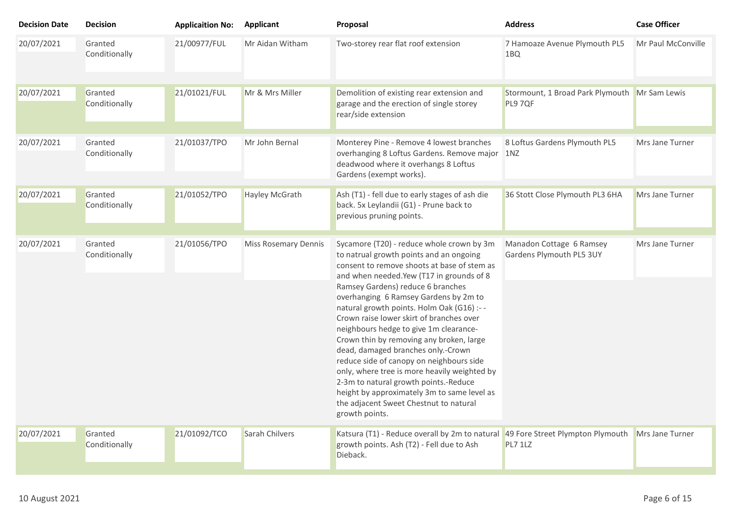| <b>Decision Date</b> | <b>Decision</b>          | <b>Applicaition No:</b> | Applicant                   | Proposal                                                                                                                                                                                                                                                                                                                                                                                                                                                                                                                                                                                                                                                                                                                           | <b>Address</b>                                           | <b>Case Officer</b> |
|----------------------|--------------------------|-------------------------|-----------------------------|------------------------------------------------------------------------------------------------------------------------------------------------------------------------------------------------------------------------------------------------------------------------------------------------------------------------------------------------------------------------------------------------------------------------------------------------------------------------------------------------------------------------------------------------------------------------------------------------------------------------------------------------------------------------------------------------------------------------------------|----------------------------------------------------------|---------------------|
| 20/07/2021           | Granted<br>Conditionally | 21/00977/FUL            | Mr Aidan Witham             | Two-storey rear flat roof extension                                                                                                                                                                                                                                                                                                                                                                                                                                                                                                                                                                                                                                                                                                | 7 Hamoaze Avenue Plymouth PL5<br>1BQ                     | Mr Paul McConville  |
| 20/07/2021           | Granted<br>Conditionally | 21/01021/FUL            | Mr & Mrs Miller             | Demolition of existing rear extension and<br>garage and the erection of single storey<br>rear/side extension                                                                                                                                                                                                                                                                                                                                                                                                                                                                                                                                                                                                                       | Stormount, 1 Broad Park Plymouth Mr Sam Lewis<br>PL9 7QF |                     |
| 20/07/2021           | Granted<br>Conditionally | 21/01037/TPO            | Mr John Bernal              | Monterey Pine - Remove 4 lowest branches<br>overhanging 8 Loftus Gardens. Remove major 1NZ<br>deadwood where it overhangs 8 Loftus<br>Gardens (exempt works).                                                                                                                                                                                                                                                                                                                                                                                                                                                                                                                                                                      | 8 Loftus Gardens Plymouth PL5                            | Mrs Jane Turner     |
| 20/07/2021           | Granted<br>Conditionally | 21/01052/TPO            | <b>Hayley McGrath</b>       | Ash (T1) - fell due to early stages of ash die<br>back. 5x Leylandii (G1) - Prune back to<br>previous pruning points.                                                                                                                                                                                                                                                                                                                                                                                                                                                                                                                                                                                                              | 36 Stott Close Plymouth PL3 6HA                          | Mrs Jane Turner     |
| 20/07/2021           | Granted<br>Conditionally | 21/01056/TPO            | <b>Miss Rosemary Dennis</b> | Sycamore (T20) - reduce whole crown by 3m<br>to natrual growth points and an ongoing<br>consent to remove shoots at base of stem as<br>and when needed.Yew (T17 in grounds of 8<br>Ramsey Gardens) reduce 6 branches<br>overhanging 6 Ramsey Gardens by 2m to<br>natural growth points. Holm Oak (G16) :--<br>Crown raise lower skirt of branches over<br>neighbours hedge to give 1m clearance-<br>Crown thin by removing any broken, large<br>dead, damaged branches only.-Crown<br>reduce side of canopy on neighbours side<br>only, where tree is more heavily weighted by<br>2-3m to natural growth points.-Reduce<br>height by approximately 3m to same level as<br>the adjacent Sweet Chestnut to natural<br>growth points. | Manadon Cottage 6 Ramsey<br>Gardens Plymouth PL5 3UY     | Mrs Jane Turner     |
| 20/07/2021           | Granted<br>Conditionally | 21/01092/TCO            | Sarah Chilvers              | Katsura (T1) - Reduce overall by 2m to natural 49 Fore Street Plympton Plymouth<br>growth points. Ash (T2) - Fell due to Ash<br>Dieback.                                                                                                                                                                                                                                                                                                                                                                                                                                                                                                                                                                                           | <b>PL7 1LZ</b>                                           | Mrs Jane Turner     |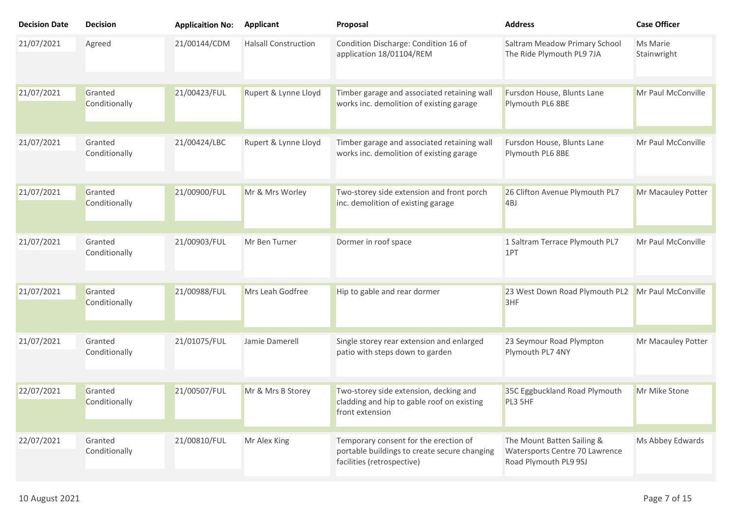| <b>Decision Date</b> | <b>Decision</b>          | <b>Applicaition No:</b> | Applicant                   | Proposal                                                                                                            | <b>Address</b>                                                                        | <b>Case Officer</b>     |
|----------------------|--------------------------|-------------------------|-----------------------------|---------------------------------------------------------------------------------------------------------------------|---------------------------------------------------------------------------------------|-------------------------|
| 21/07/2021           | Agreed                   | 21/00144/CDM            | <b>Halsall Construction</b> | Condition Discharge: Condition 16 of<br>application 18/01104/REM                                                    | Saltram Meadow Primary School<br>The Ride Plymouth PL9 7JA                            | Ms Marie<br>Stainwright |
| 21/07/2021           | Granted<br>Conditionally | 21/00423/FUL            | Rupert & Lynne Lloyd        | Timber garage and associated retaining wall<br>works inc. demolition of existing garage                             | Fursdon House, Blunts Lane<br>Plymouth PL6 8BE                                        | Mr Paul McConville      |
| 21/07/2021           | Granted<br>Conditionally | 21/00424/LBC            | Rupert & Lynne Lloyd        | Timber garage and associated retaining wall<br>works inc. demolition of existing garage                             | Fursdon House, Blunts Lane<br>Plymouth PL6 8BE                                        | Mr Paul McConville      |
| 21/07/2021           | Granted<br>Conditionally | 21/00900/FUL            | Mr & Mrs Worley             | Two-storey side extension and front porch<br>inc. demolition of existing garage                                     | 26 Clifton Avenue Plymouth PL7<br>4BJ                                                 | Mr Macauley Potter      |
| 21/07/2021           | Granted<br>Conditionally | 21/00903/FUL            | Mr Ben Turner               | Dormer in roof space                                                                                                | 1 Saltram Terrace Plymouth PL7<br>1PT                                                 | Mr Paul McConville      |
| 21/07/2021           | Granted<br>Conditionally | 21/00988/FUL            | Mrs Leah Godfree            | Hip to gable and rear dormer                                                                                        | 23 West Down Road Plymouth PL2<br>3HF                                                 | Mr Paul McConville      |
| 21/07/2021           | Granted<br>Conditionally | 21/01075/FUL            | Jamie Damerell              | Single storey rear extension and enlarged<br>patio with steps down to garden                                        | 23 Seymour Road Plympton<br>Plymouth PL7 4NY                                          | Mr Macauley Potter      |
| 22/07/2021           | Granted<br>Conditionally | 21/00507/FUL            | Mr & Mrs B Storey           | Two-storey side extension, decking and<br>cladding and hip to gable roof on existing<br>front extension             | 35C Eggbuckland Road Plymouth<br>PL3 5HF                                              | Mr Mike Stone           |
| 22/07/2021           | Granted<br>Conditionally | 21/00810/FUL            | Mr Alex King                | Temporary consent for the erection of<br>portable buildings to create secure changing<br>facilities (retrospective) | The Mount Batten Sailing &<br>Watersports Centre 70 Lawrence<br>Road Plymouth PL9 9SJ | Ms Abbey Edwards        |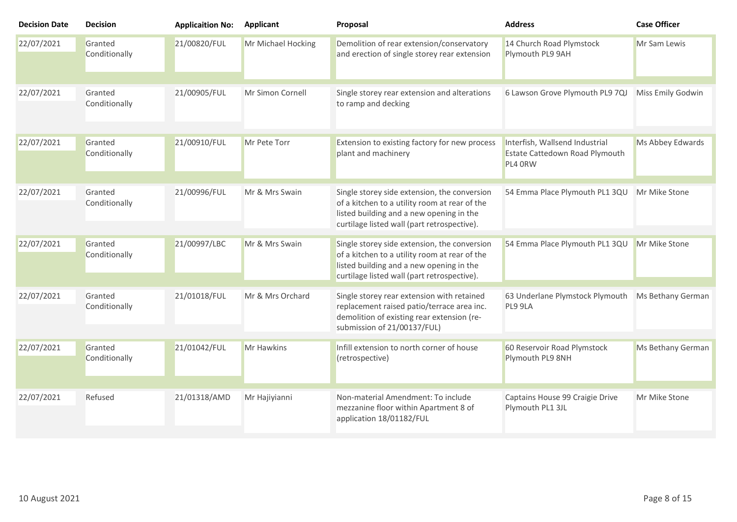| <b>Decision Date</b> | <b>Decision</b>          | <b>Applicaition No:</b> | <b>Applicant</b>   | Proposal                                                                                                                                                                                 | <b>Address</b>                                                              | <b>Case Officer</b> |
|----------------------|--------------------------|-------------------------|--------------------|------------------------------------------------------------------------------------------------------------------------------------------------------------------------------------------|-----------------------------------------------------------------------------|---------------------|
| 22/07/2021           | Granted<br>Conditionally | 21/00820/FUL            | Mr Michael Hocking | Demolition of rear extension/conservatory<br>and erection of single storey rear extension                                                                                                | 14 Church Road Plymstock<br>Plymouth PL9 9AH                                | Mr Sam Lewis        |
| 22/07/2021           | Granted<br>Conditionally | 21/00905/FUL            | Mr Simon Cornell   | Single storey rear extension and alterations<br>to ramp and decking                                                                                                                      | 6 Lawson Grove Plymouth PL9 7QJ                                             | Miss Emily Godwin   |
| 22/07/2021           | Granted<br>Conditionally | 21/00910/FUL            | Mr Pete Torr       | Extension to existing factory for new process<br>plant and machinery                                                                                                                     | Interfish, Wallsend Industrial<br>Estate Cattedown Road Plymouth<br>PL4 ORW | Ms Abbey Edwards    |
| 22/07/2021           | Granted<br>Conditionally | 21/00996/FUL            | Mr & Mrs Swain     | Single storey side extension, the conversion<br>of a kitchen to a utility room at rear of the<br>listed building and a new opening in the<br>curtilage listed wall (part retrospective). | 54 Emma Place Plymouth PL1 3QU                                              | Mr Mike Stone       |
| 22/07/2021           | Granted<br>Conditionally | 21/00997/LBC            | Mr & Mrs Swain     | Single storey side extension, the conversion<br>of a kitchen to a utility room at rear of the<br>listed building and a new opening in the<br>curtilage listed wall (part retrospective). | 54 Emma Place Plymouth PL1 3QU                                              | Mr Mike Stone       |
| 22/07/2021           | Granted<br>Conditionally | 21/01018/FUL            | Mr & Mrs Orchard   | Single storey rear extension with retained<br>replacement raised patio/terrace area inc.<br>demolition of existing rear extension (re-<br>submission of 21/00137/FUL)                    | 63 Underlane Plymstock Plymouth<br>PL9 9LA                                  | Ms Bethany German   |
| 22/07/2021           | Granted<br>Conditionally | 21/01042/FUL            | <b>Mr Hawkins</b>  | Infill extension to north corner of house<br>(retrospective)                                                                                                                             | 60 Reservoir Road Plymstock<br>Plymouth PL9 8NH                             | Ms Bethany German   |
| 22/07/2021           | Refused                  | 21/01318/AMD            | Mr Hajiyianni      | Non-material Amendment: To include<br>mezzanine floor within Apartment 8 of<br>application 18/01182/FUL                                                                                  | Captains House 99 Craigie Drive<br>Plymouth PL1 3JL                         | Mr Mike Stone       |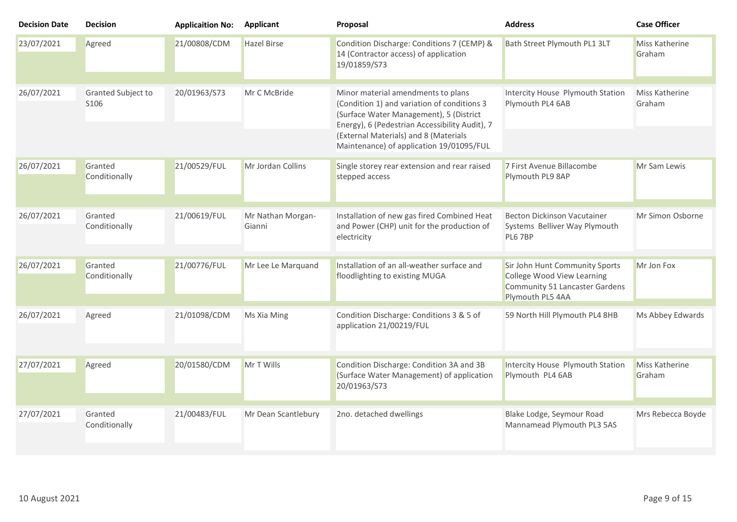| 23/07/2021<br>21/00808/CDM<br><b>Hazel Birse</b><br>Condition Discharge: Conditions 7 (CEMP) &<br>Bath Street Plymouth PL1 3LT<br>Miss Katherine<br>Agreed<br>14 (Contractor access) of application<br>Graham<br>19/01859/S73<br>26/07/2021<br>20/01963/S73<br>Minor material amendments to plans<br>Intercity House Plymouth Station<br>Miss Katherine<br>Granted Subject to<br>Mr C McBride<br>(Condition 1) and variation of conditions 3<br>Plymouth PL4 6AB<br>S <sub>106</sub><br>Graham<br>(Surface Water Management), 5 (District<br>Energy), 6 (Pedestrian Accessibility Audit), 7<br>(External Materials) and 8 (Materials<br>Maintenance) of application 19/01095/FUL<br>26/07/2021<br>Granted<br>21/00529/FUL<br>Mr Jordan Collins<br>Single storey rear extension and rear raised<br>7 First Avenue Billacombe<br>Mr Sam Lewis<br>stepped access<br>Plymouth PL9 8AP<br>Conditionally<br>26/07/2021<br>21/00619/FUL<br>Mr Nathan Morgan-<br>Installation of new gas fired Combined Heat<br>Becton Dickinson Vacutainer<br>Mr Simon Osborne<br>Granted<br>and Power (CHP) unit for the production of<br>Conditionally<br>Systems Belliver Way Plymouth<br>Gianni<br>PL6 7BP<br>electricity<br>26/07/2021<br>Granted<br>21/00776/FUL<br>Installation of an all-weather surface and<br>Mr Lee Le Marquand<br>Sir John Hunt Community Sports<br>Mr Jon Fox<br>College Wood View Learning<br>Conditionally<br>floodlighting to existing MUGA<br>Community 51 Lancaster Gardens<br>Plymouth PL5 4AA<br>26/07/2021<br>21/01098/CDM<br>Condition Discharge: Conditions 3 & 5 of<br>59 North Hill Plymouth PL4 8HB<br>Agreed<br>Ms Xia Ming<br>application 21/00219/FUL<br>27/07/2021<br>20/01580/CDM<br>Mr T Wills<br>Condition Discharge: Condition 3A and 3B<br>Intercity House Plymouth Station<br>Miss Katherine<br>Agreed | <b>Decision Date</b> | <b>Decision</b> | <b>Applicaition No:</b> | <b>Applicant</b> | Proposal                                  | <b>Address</b>   | <b>Case Officer</b> |
|-------------------------------------------------------------------------------------------------------------------------------------------------------------------------------------------------------------------------------------------------------------------------------------------------------------------------------------------------------------------------------------------------------------------------------------------------------------------------------------------------------------------------------------------------------------------------------------------------------------------------------------------------------------------------------------------------------------------------------------------------------------------------------------------------------------------------------------------------------------------------------------------------------------------------------------------------------------------------------------------------------------------------------------------------------------------------------------------------------------------------------------------------------------------------------------------------------------------------------------------------------------------------------------------------------------------------------------------------------------------------------------------------------------------------------------------------------------------------------------------------------------------------------------------------------------------------------------------------------------------------------------------------------------------------------------------------------------------------------------------------------------------------------------------------------------------------------------|----------------------|-----------------|-------------------------|------------------|-------------------------------------------|------------------|---------------------|
|                                                                                                                                                                                                                                                                                                                                                                                                                                                                                                                                                                                                                                                                                                                                                                                                                                                                                                                                                                                                                                                                                                                                                                                                                                                                                                                                                                                                                                                                                                                                                                                                                                                                                                                                                                                                                                     |                      |                 |                         |                  |                                           |                  |                     |
|                                                                                                                                                                                                                                                                                                                                                                                                                                                                                                                                                                                                                                                                                                                                                                                                                                                                                                                                                                                                                                                                                                                                                                                                                                                                                                                                                                                                                                                                                                                                                                                                                                                                                                                                                                                                                                     |                      |                 |                         |                  |                                           |                  |                     |
|                                                                                                                                                                                                                                                                                                                                                                                                                                                                                                                                                                                                                                                                                                                                                                                                                                                                                                                                                                                                                                                                                                                                                                                                                                                                                                                                                                                                                                                                                                                                                                                                                                                                                                                                                                                                                                     |                      |                 |                         |                  |                                           |                  |                     |
|                                                                                                                                                                                                                                                                                                                                                                                                                                                                                                                                                                                                                                                                                                                                                                                                                                                                                                                                                                                                                                                                                                                                                                                                                                                                                                                                                                                                                                                                                                                                                                                                                                                                                                                                                                                                                                     |                      |                 |                         |                  |                                           |                  |                     |
|                                                                                                                                                                                                                                                                                                                                                                                                                                                                                                                                                                                                                                                                                                                                                                                                                                                                                                                                                                                                                                                                                                                                                                                                                                                                                                                                                                                                                                                                                                                                                                                                                                                                                                                                                                                                                                     |                      |                 |                         |                  |                                           |                  |                     |
|                                                                                                                                                                                                                                                                                                                                                                                                                                                                                                                                                                                                                                                                                                                                                                                                                                                                                                                                                                                                                                                                                                                                                                                                                                                                                                                                                                                                                                                                                                                                                                                                                                                                                                                                                                                                                                     |                      |                 |                         |                  |                                           |                  |                     |
|                                                                                                                                                                                                                                                                                                                                                                                                                                                                                                                                                                                                                                                                                                                                                                                                                                                                                                                                                                                                                                                                                                                                                                                                                                                                                                                                                                                                                                                                                                                                                                                                                                                                                                                                                                                                                                     |                      |                 |                         |                  |                                           |                  |                     |
|                                                                                                                                                                                                                                                                                                                                                                                                                                                                                                                                                                                                                                                                                                                                                                                                                                                                                                                                                                                                                                                                                                                                                                                                                                                                                                                                                                                                                                                                                                                                                                                                                                                                                                                                                                                                                                     |                      |                 |                         |                  |                                           |                  | Ms Abbey Edwards    |
|                                                                                                                                                                                                                                                                                                                                                                                                                                                                                                                                                                                                                                                                                                                                                                                                                                                                                                                                                                                                                                                                                                                                                                                                                                                                                                                                                                                                                                                                                                                                                                                                                                                                                                                                                                                                                                     |                      |                 |                         |                  |                                           |                  |                     |
| 20/01963/S73                                                                                                                                                                                                                                                                                                                                                                                                                                                                                                                                                                                                                                                                                                                                                                                                                                                                                                                                                                                                                                                                                                                                                                                                                                                                                                                                                                                                                                                                                                                                                                                                                                                                                                                                                                                                                        |                      |                 |                         |                  | (Surface Water Management) of application | Plymouth PL4 6AB | Graham              |
|                                                                                                                                                                                                                                                                                                                                                                                                                                                                                                                                                                                                                                                                                                                                                                                                                                                                                                                                                                                                                                                                                                                                                                                                                                                                                                                                                                                                                                                                                                                                                                                                                                                                                                                                                                                                                                     |                      |                 |                         |                  |                                           |                  |                     |
| 27/07/2021<br>21/00483/FUL<br>Mr Dean Scantlebury<br>Blake Lodge, Seymour Road<br>Granted<br>2no. detached dwellings<br>Conditionally<br>Mannamead Plymouth PL3 5AS                                                                                                                                                                                                                                                                                                                                                                                                                                                                                                                                                                                                                                                                                                                                                                                                                                                                                                                                                                                                                                                                                                                                                                                                                                                                                                                                                                                                                                                                                                                                                                                                                                                                 |                      |                 |                         |                  |                                           |                  | Mrs Rebecca Boyde   |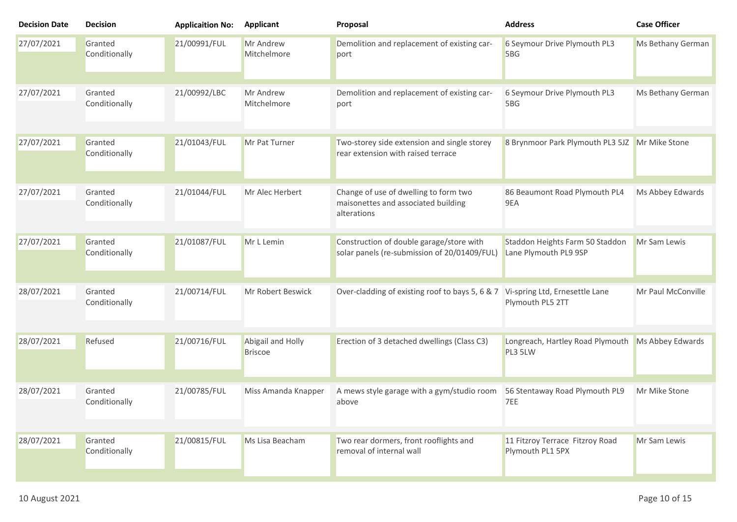| <b>Decision Date</b> | <b>Decision</b>          | <b>Applicaition No:</b> | <b>Applicant</b>                    | Proposal                                                                                    | <b>Address</b>                                           | <b>Case Officer</b> |
|----------------------|--------------------------|-------------------------|-------------------------------------|---------------------------------------------------------------------------------------------|----------------------------------------------------------|---------------------|
| 27/07/2021           | Granted<br>Conditionally | 21/00991/FUL            | Mr Andrew<br>Mitchelmore            | Demolition and replacement of existing car-<br>port                                         | 6 Seymour Drive Plymouth PL3<br>5BG                      | Ms Bethany German   |
| 27/07/2021           | Granted<br>Conditionally | 21/00992/LBC            | Mr Andrew<br>Mitchelmore            | Demolition and replacement of existing car-<br>port                                         | 6 Seymour Drive Plymouth PL3<br>5BG                      | Ms Bethany German   |
| 27/07/2021           | Granted<br>Conditionally | 21/01043/FUL            | Mr Pat Turner                       | Two-storey side extension and single storey<br>rear extension with raised terrace           | 8 Brynmoor Park Plymouth PL3 5JZ Mr Mike Stone           |                     |
| 27/07/2021           | Granted<br>Conditionally | 21/01044/FUL            | Mr Alec Herbert                     | Change of use of dwelling to form two<br>maisonettes and associated building<br>alterations | 86 Beaumont Road Plymouth PL4<br>9EA                     | Ms Abbey Edwards    |
| 27/07/2021           | Granted<br>Conditionally | 21/01087/FUL            | Mr L Lemin                          | Construction of double garage/store with<br>solar panels (re-submission of 20/01409/FUL)    | Staddon Heights Farm 50 Staddon<br>Lane Plymouth PL9 9SP | Mr Sam Lewis        |
| 28/07/2021           | Granted<br>Conditionally | 21/00714/FUL            | Mr Robert Beswick                   | Over-cladding of existing roof to bays 5, 6 & 7                                             | Vi-spring Ltd, Ernesettle Lane<br>Plymouth PL5 2TT       | Mr Paul McConville  |
| 28/07/2021           | Refused                  | 21/00716/FUL            | Abigail and Holly<br><b>Briscoe</b> | Erection of 3 detached dwellings (Class C3)                                                 | Longreach, Hartley Road Plymouth<br>PL3 5LW              | Ms Abbey Edwards    |
| 28/07/2021           | Granted<br>Conditionally | 21/00785/FUL            | Miss Amanda Knapper                 | A mews style garage with a gym/studio room<br>above                                         | 56 Stentaway Road Plymouth PL9<br>7EE                    | Mr Mike Stone       |
| 28/07/2021           | Granted<br>Conditionally | 21/00815/FUL            | Ms Lisa Beacham                     | Two rear dormers, front rooflights and<br>removal of internal wall                          | 11 Fitzroy Terrace Fitzroy Road<br>Plymouth PL1 5PX      | Mr Sam Lewis        |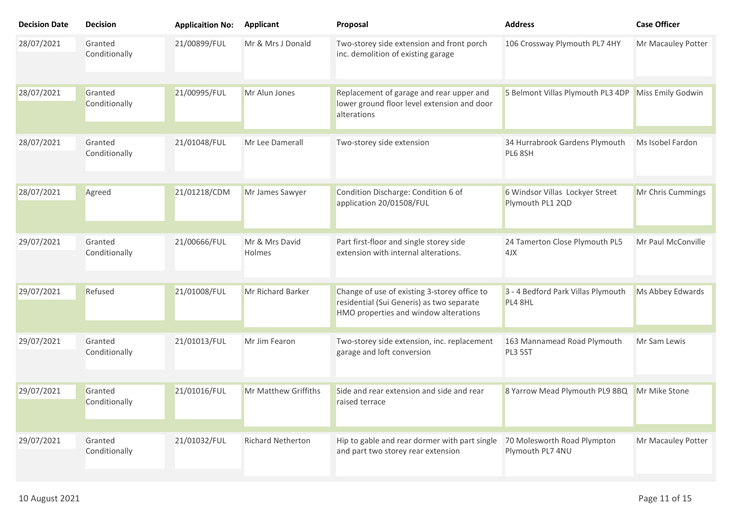| <b>Decision Date</b> | <b>Decision</b>          | <b>Applicaition No:</b> | <b>Applicant</b>         | Proposal                                                                                                                           | <b>Address</b>                                      | <b>Case Officer</b> |
|----------------------|--------------------------|-------------------------|--------------------------|------------------------------------------------------------------------------------------------------------------------------------|-----------------------------------------------------|---------------------|
| 28/07/2021           | Granted<br>Conditionally | 21/00899/FUL            | Mr & Mrs J Donald        | Two-storey side extension and front porch<br>inc. demolition of existing garage                                                    | 106 Crossway Plymouth PL7 4HY                       | Mr Macauley Potter  |
| 28/07/2021           | Granted<br>Conditionally | 21/00995/FUL            | Mr Alun Jones            | Replacement of garage and rear upper and<br>lower ground floor level extension and door<br>alterations                             | 5 Belmont Villas Plymouth PL3 4DP                   | Miss Emily Godwin   |
| 28/07/2021           | Granted<br>Conditionally | 21/01048/FUL            | Mr Lee Damerall          | Two-storey side extension                                                                                                          | 34 Hurrabrook Gardens Plymouth<br>PL6 8SH           | Ms Isobel Fardon    |
| 28/07/2021           | Agreed                   | 21/01218/CDM            | Mr James Sawyer          | Condition Discharge: Condition 6 of<br>application 20/01508/FUL                                                                    | 6 Windsor Villas Lockyer Street<br>Plymouth PL1 2QD | Mr Chris Cummings   |
| 29/07/2021           | Granted<br>Conditionally | 21/00666/FUL            | Mr & Mrs David<br>Holmes | Part first-floor and single storey side<br>extension with internal alterations.                                                    | 24 Tamerton Close Plymouth PL5<br>4JX               | Mr Paul McConville  |
| 29/07/2021           | Refused                  | 21/01008/FUL            | Mr Richard Barker        | Change of use of existing 3-storey office to<br>residential (Sui Generis) as two separate<br>HMO properties and window alterations | 3 - 4 Bedford Park Villas Plymouth<br>PL4 8HL       | Ms Abbey Edwards    |
| 29/07/2021           | Granted<br>Conditionally | 21/01013/FUL            | Mr Jim Fearon            | Two-storey side extension, inc. replacement<br>garage and loft conversion                                                          | 163 Mannamead Road Plymouth<br>PL3 5ST              | Mr Sam Lewis        |
| 29/07/2021           | Granted<br>Conditionally | 21/01016/FUL            | Mr Matthew Griffiths     | Side and rear extension and side and rear<br>raised terrace                                                                        | 8 Yarrow Mead Plymouth PL9 8BQ                      | Mr Mike Stone       |
| 29/07/2021           | Granted<br>Conditionally | 21/01032/FUL            | <b>Richard Netherton</b> | Hip to gable and rear dormer with part single<br>and part two storey rear extension                                                | 70 Molesworth Road Plympton<br>Plymouth PL7 4NU     | Mr Macauley Potter  |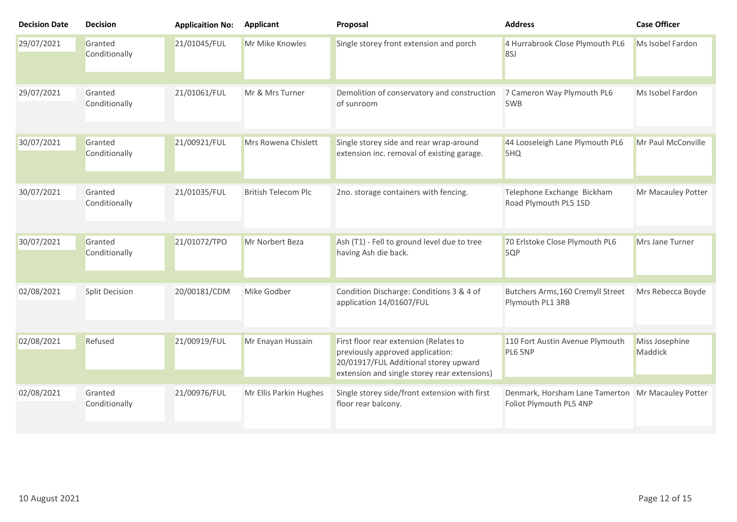| <b>Decision Date</b> | <b>Decision</b>          | <b>Applicaition No:</b> | <b>Applicant</b>           | Proposal                                                                                                                                                            | <b>Address</b>                                                               | <b>Case Officer</b>       |
|----------------------|--------------------------|-------------------------|----------------------------|---------------------------------------------------------------------------------------------------------------------------------------------------------------------|------------------------------------------------------------------------------|---------------------------|
| 29/07/2021           | Granted<br>Conditionally | 21/01045/FUL            | Mr Mike Knowles            | Single storey front extension and porch                                                                                                                             | 4 Hurrabrook Close Plymouth PL6<br>8SJ                                       | Ms Isobel Fardon          |
| 29/07/2021           | Granted<br>Conditionally | 21/01061/FUL            | Mr & Mrs Turner            | Demolition of conservatory and construction<br>of sunroom                                                                                                           | 7 Cameron Way Plymouth PL6<br>5WB                                            | Ms Isobel Fardon          |
| 30/07/2021           | Granted<br>Conditionally | 21/00921/FUL            | Mrs Rowena Chislett        | Single storey side and rear wrap-around<br>extension inc. removal of existing garage.                                                                               | 44 Looseleigh Lane Plymouth PL6<br>5HQ                                       | Mr Paul McConville        |
| 30/07/2021           | Granted<br>Conditionally | 21/01035/FUL            | <b>British Telecom Plc</b> | 2no. storage containers with fencing.                                                                                                                               | Telephone Exchange Bickham<br>Road Plymouth PL5 1SD                          | Mr Macauley Potter        |
| 30/07/2021           | Granted<br>Conditionally | 21/01072/TPO            | Mr Norbert Beza            | Ash (T1) - Fell to ground level due to tree<br>having Ash die back.                                                                                                 | 70 Erlstoke Close Plymouth PL6<br>5QP                                        | Mrs Jane Turner           |
| 02/08/2021           | <b>Split Decision</b>    | 20/00181/CDM            | Mike Godber                | Condition Discharge: Conditions 3 & 4 of<br>application 14/01607/FUL                                                                                                | Butchers Arms, 160 Cremyll Street<br>Plymouth PL1 3RB                        | Mrs Rebecca Boyde         |
| 02/08/2021           | Refused                  | 21/00919/FUL            | Mr Enayan Hussain          | First floor rear extension (Relates to<br>previously approved application:<br>20/01917/FUL Additional storey upward<br>extension and single storey rear extensions) | 110 Fort Austin Avenue Plymouth<br>PL6 5NP                                   | Miss Josephine<br>Maddick |
| 02/08/2021           | Granted<br>Conditionally | 21/00976/FUL            | Mr Ellis Parkin Hughes     | Single storey side/front extension with first<br>floor rear balcony.                                                                                                | Denmark, Horsham Lane Tamerton Mr Macauley Potter<br>Foliot Plymouth PL5 4NP |                           |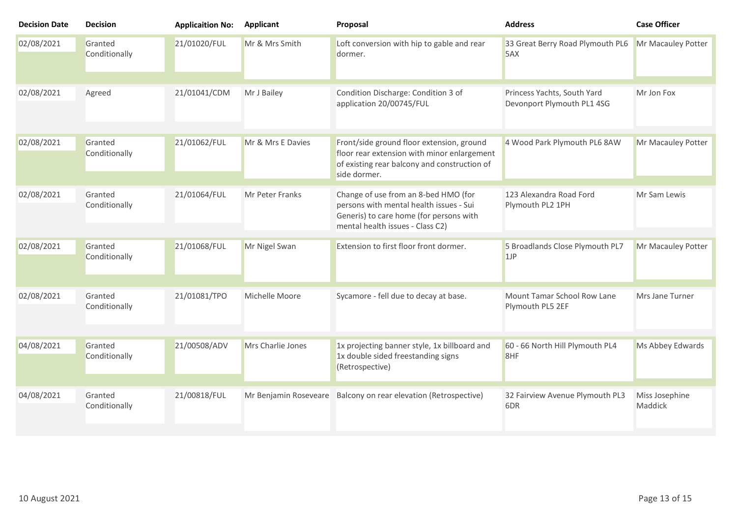| <b>Decision Date</b> | <b>Decision</b>          | <b>Applicaition No:</b> | Applicant             | Proposal                                                                                                                                                       | <b>Address</b>                                            | <b>Case Officer</b>       |
|----------------------|--------------------------|-------------------------|-----------------------|----------------------------------------------------------------------------------------------------------------------------------------------------------------|-----------------------------------------------------------|---------------------------|
| 02/08/2021           | Granted<br>Conditionally | 21/01020/FUL            | Mr & Mrs Smith        | Loft conversion with hip to gable and rear<br>dormer.                                                                                                          | 33 Great Berry Road Plymouth PL6<br>5AX                   | Mr Macauley Potter        |
| 02/08/2021           | Agreed                   | 21/01041/CDM            | Mr J Bailey           | Condition Discharge: Condition 3 of<br>application 20/00745/FUL                                                                                                | Princess Yachts, South Yard<br>Devonport Plymouth PL1 4SG | Mr Jon Fox                |
| 02/08/2021           | Granted<br>Conditionally | 21/01062/FUL            | Mr & Mrs E Davies     | Front/side ground floor extension, ground<br>floor rear extension with minor enlargement<br>of existing rear balcony and construction of<br>side dormer.       | 4 Wood Park Plymouth PL6 8AW                              | Mr Macauley Potter        |
| 02/08/2021           | Granted<br>Conditionally | 21/01064/FUL            | Mr Peter Franks       | Change of use from an 8-bed HMO (for<br>persons with mental health issues - Sui<br>Generis) to care home (for persons with<br>mental health issues - Class C2) | 123 Alexandra Road Ford<br>Plymouth PL2 1PH               | Mr Sam Lewis              |
| 02/08/2021           | Granted<br>Conditionally | 21/01068/FUL            | Mr Nigel Swan         | Extension to first floor front dormer.                                                                                                                         | 5 Broadlands Close Plymouth PL7<br>1JP                    | Mr Macauley Potter        |
| 02/08/2021           | Granted<br>Conditionally | 21/01081/TPO            | Michelle Moore        | Sycamore - fell due to decay at base.                                                                                                                          | Mount Tamar School Row Lane<br>Plymouth PL5 2EF           | Mrs Jane Turner           |
| 04/08/2021           | Granted<br>Conditionally | 21/00508/ADV            | Mrs Charlie Jones     | 1x projecting banner style, 1x billboard and<br>1x double sided freestanding signs<br>(Retrospective)                                                          | 60 - 66 North Hill Plymouth PL4<br>8HF                    | Ms Abbey Edwards          |
| 04/08/2021           | Granted<br>Conditionally | 21/00818/FUL            | Mr Benjamin Roseveare | Balcony on rear elevation (Retrospective)                                                                                                                      | 32 Fairview Avenue Plymouth PL3<br>6DR                    | Miss Josephine<br>Maddick |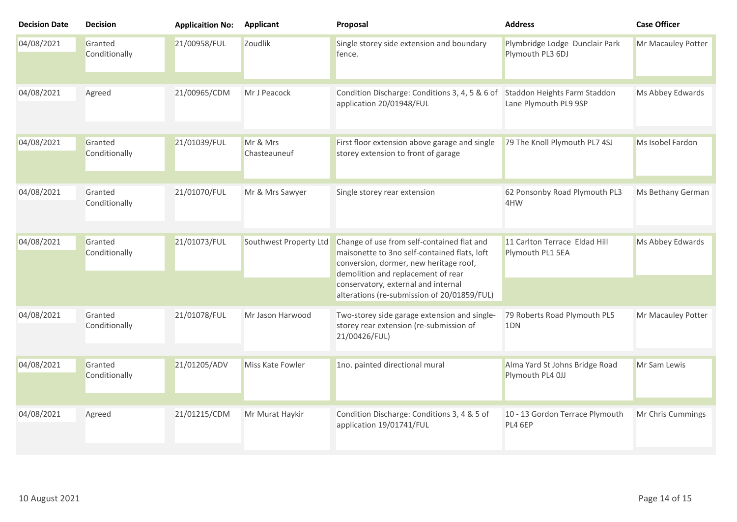| <b>Decision Date</b> | <b>Decision</b>          | <b>Applicaition No:</b> | <b>Applicant</b>         | Proposal                                                                                                                                                                                                                                                         | <b>Address</b>                                        | <b>Case Officer</b> |
|----------------------|--------------------------|-------------------------|--------------------------|------------------------------------------------------------------------------------------------------------------------------------------------------------------------------------------------------------------------------------------------------------------|-------------------------------------------------------|---------------------|
| 04/08/2021           | Granted<br>Conditionally | 21/00958/FUL            | Zoudlik                  | Single storey side extension and boundary<br>fence.                                                                                                                                                                                                              | Plymbridge Lodge Dunclair Park<br>Plymouth PL3 6DJ    | Mr Macauley Potter  |
| 04/08/2021           | Agreed                   | 21/00965/CDM            | Mr J Peacock             | Condition Discharge: Conditions 3, 4, 5 & 6 of<br>application 20/01948/FUL                                                                                                                                                                                       | Staddon Heights Farm Staddon<br>Lane Plymouth PL9 9SP | Ms Abbey Edwards    |
| 04/08/2021           | Granted<br>Conditionally | 21/01039/FUL            | Mr & Mrs<br>Chasteauneuf | First floor extension above garage and single<br>storey extension to front of garage                                                                                                                                                                             | 79 The Knoll Plymouth PL7 4SJ                         | Ms Isobel Fardon    |
| 04/08/2021           | Granted<br>Conditionally | 21/01070/FUL            | Mr & Mrs Sawyer          | Single storey rear extension                                                                                                                                                                                                                                     | 62 Ponsonby Road Plymouth PL3<br>4HW                  | Ms Bethany German   |
| 04/08/2021           | Granted<br>Conditionally | 21/01073/FUL            | Southwest Property Ltd   | Change of use from self-contained flat and<br>maisonette to 3no self-contained flats, loft<br>conversion, dormer, new heritage roof,<br>demolition and replacement of rear<br>conservatory, external and internal<br>alterations (re-submission of 20/01859/FUL) | 11 Carlton Terrace Eldad Hill<br>Plymouth PL1 5EA     | Ms Abbey Edwards    |
| 04/08/2021           | Granted<br>Conditionally | 21/01078/FUL            | Mr Jason Harwood         | Two-storey side garage extension and single-<br>storey rear extension (re-submission of<br>21/00426/FUL)                                                                                                                                                         | 79 Roberts Road Plymouth PL5<br>1 <sub>DN</sub>       | Mr Macauley Potter  |
| 04/08/2021           | Granted<br>Conditionally | 21/01205/ADV            | Miss Kate Fowler         | 1no. painted directional mural                                                                                                                                                                                                                                   | Alma Yard St Johns Bridge Road<br>Plymouth PL4 0JJ    | Mr Sam Lewis        |
| 04/08/2021           | Agreed                   | 21/01215/CDM            | Mr Murat Haykir          | Condition Discharge: Conditions 3, 4 & 5 of<br>application 19/01741/FUL                                                                                                                                                                                          | 10 - 13 Gordon Terrace Plymouth<br>PL4 6EP            | Mr Chris Cummings   |